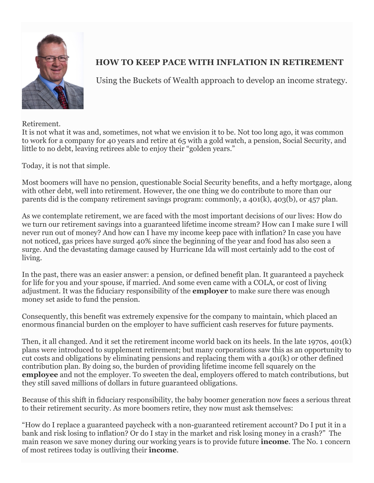

## **HOW TO KEEP PACE WITH INFLATION IN RETIREMENT**

Using the Buckets of Wealth approach to develop an income strategy.

Retirement.

It is not what it was and, sometimes, not what we envision it to be. Not too long ago, it was common to work for a company for 40 years and retire at 65 with a gold watch, a pension, Social Security, and little to no debt, leaving retirees able to enjoy their "golden years."

Today, it is not that simple.

Most boomers will have no pension, questionable Social Security benefits, and a hefty mortgage, along with other debt, well into retirement. However, the one thing we do contribute to more than our parents did is the company retirement savings program: commonly, a 401(k), 403(b), or 457 plan.

As we contemplate retirement, we are faced with the most important decisions of our lives: How do we turn our retirement savings into a guaranteed lifetime income stream? How can I make sure I will never run out of money? And how can I have my income keep pace with inflation? In case you have not noticed, gas prices have surged 40% since the beginning of the year and food has also seen a surge. And the devastating damage caused by Hurricane Ida will most certainly add to the cost of living.

In the past, there was an easier answer: a pension, or defined benefit plan. It guaranteed a paycheck for life for you and your spouse, if married. And some even came with a COLA, or cost of living adjustment. It was the fiduciary responsibility of the **employer** to make sure there was enough money set aside to fund the pension.

Consequently, this benefit was extremely expensive for the company to maintain, which placed an enormous financial burden on the employer to have sufficient cash reserves for future payments.

Then, it all changed. And it set the retirement income world back on its heels. In the late 1970s, 401(k) plans were introduced to supplement retirement; but many corporations saw this as an opportunity to cut costs and obligations by eliminating pensions and replacing them with a 401(k) or other defined contribution plan. By doing so, the burden of providing lifetime income fell squarely on the **employee** and not the employer. To sweeten the deal, employers offered to match contributions, but they still saved millions of dollars in future guaranteed obligations.

Because of this shift in fiduciary responsibility, the baby boomer generation now faces a serious threat to their retirement security. As more boomers retire, they now must ask themselves:

"How do I replace a guaranteed paycheck with a non-guaranteed retirement account? Do I put it in a bank and risk losing to inflation? Or do I stay in the market and risk losing money in a crash?" The main reason we save money during our working years is to provide future **income**. The No. 1 concern of most retirees today is outliving their **income**.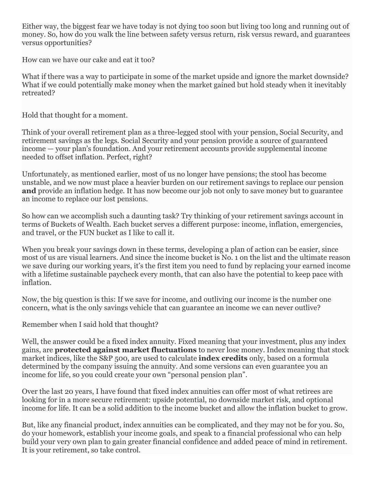Either way, the biggest fear we have today is not dying too soon but living too long and running out of money. So, how do you walk the line between safety versus return, risk versus reward, and guarantees versus opportunities?

How can we have our cake and eat it too?

What if there was a way to participate in some of the market upside and ignore the market downside? What if we could potentially make money when the market gained but hold steady when it inevitably retreated?

Hold that thought for a moment.

Think of your overall retirement plan as a three-legged stool with your pension, Social Security, and retirement savings as the legs. Social Security and your pension provide a source of guaranteed income — your plan's foundation. And your retirement accounts provide supplemental income needed to offset inflation. Perfect, right?

Unfortunately, as mentioned earlier, most of us no longer have pensions; the stool has become unstable, and we now must place a heavier burden on our retirement savings to replace our pension **and** provide an inflation hedge. It has now become our job not only to save money but to guarantee an income to replace our lost pensions.

So how can we accomplish such a daunting task? Try thinking of your retirement savings account in terms of Buckets of Wealth. Each bucket serves a different purpose: income, inflation, emergencies, and travel, or the FUN bucket as I like to call it.

When you break your savings down in these terms, developing a plan of action can be easier, since most of us are visual learners. And since the income bucket is No. 1 on the list and the ultimate reason we save during our working years, it's the first item you need to fund by replacing your earned income with a lifetime sustainable paycheck every month, that can also have the potential to keep pace with inflation.

Now, the big question is this: If we save for income, and outliving our income is the number one concern, what is the only savings vehicle that can guarantee an income we can never outlive?

Remember when I said hold that thought?

Well, the answer could be a fixed index annuity. Fixed meaning that your investment, plus any index gains, are **protected against market fluctuations** to never lose money. Index meaning that stock market indices, like the S&P 500, are used to calculate **index credits** only, based on a formula determined by the company issuing the annuity. And some versions can even guarantee you an income for life, so you could create your own "personal pension plan".

Over the last 20 years, I have found that fixed index annuities can offer most of what retirees are looking for in a more secure retirement: upside potential, no downside market risk, and optional income for life. It can be a solid addition to the income bucket and allow the inflation bucket to grow.

But, like any financial product, index annuities can be complicated, and they may not be for you. So, do your homework, establish your income goals, and speak to a financial professional who can help build your very own plan to gain greater financial confidence and added peace of mind in retirement. It is your retirement, so take control.